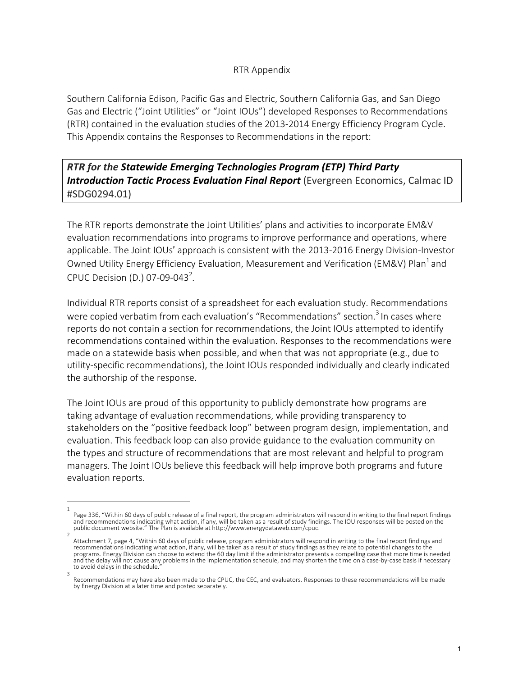## RTR Appendix

Southern California Edison, Pacific Gas and Electric, Southern California Gas, and San Diego Gas and Electric ("Joint Utilities" or "Joint IOUs") developed Responses to Recommendations (RTR) contained in the evaluation studies of the 2013-2014 Energy Efficiency Program Cycle. This Appendix contains the Responses to Recommendations in the report:

*RTR* for the Statewide Emerging Technologies Program (ETP) Third Party **Introduction Tactic Process Evaluation Final Report** (Evergreen Economics, Calmac ID #SDG0294.01)

The RTR reports demonstrate the Joint Utilities' plans and activities to incorporate EM&V evaluation recommendations into programs to improve performance and operations, where applicable. The Joint IOUs' approach is consistent with the 2013-2016 Energy Division-Investor Owned Utility Energy Efficiency Evaluation, Measurement and Verification (EM&V) Plan<sup>1</sup> and CPUC Decision (D.) 07-09-043<sup>2</sup>.

Individual RTR reports consist of a spreadsheet for each evaluation study. Recommendations were copied verbatim from each evaluation's "Recommendations" section.<sup>3</sup> In cases where reports do not contain a section for recommendations, the Joint IOUs attempted to identify recommendations contained within the evaluation. Responses to the recommendations were made on a statewide basis when possible, and when that was not appropriate (e.g., due to utility-specific recommendations), the Joint IOUs responded individually and clearly indicated the authorship of the response.

The Joint IOUs are proud of this opportunity to publicly demonstrate how programs are taking advantage of evaluation recommendations, while providing transparency to stakeholders on the "positive feedback loop" between program design, implementation, and evaluation. This feedback loop can also provide guidance to the evaluation community on the types and structure of recommendations that are most relevant and helpful to program managers. The Joint IOUs believe this feedback will help improve both programs and future evaluation reports.

<sup>1</sup> Page 336, "Within 60 days of public release of a final report, the program administrators will respond in writing to the final report findings<br>and recommendations indicating what action, if any, will be taken as a result o

<sup>2</sup> Attachment 7, page 4, "Within 60 days of public release, program administrators will respond in writing to the final report findings and recommendations indicating what action, if any, will be taken as a result of study findings as they relate to potential changes to the programs. Energy Division can choose to extend the 60 day limit if the administrator presents a compelling case that more time is needed and the delay will not cause any problems in the implementation schedule, and may shorten the time on a case-by-case basis if necessary to avoid delays in the schedule.

<sup>3</sup> Recommendations may have also been made to the CPUC, the CEC, and evaluators. Responses to these recommendations will be made by Energy Division at a later time and posted separately.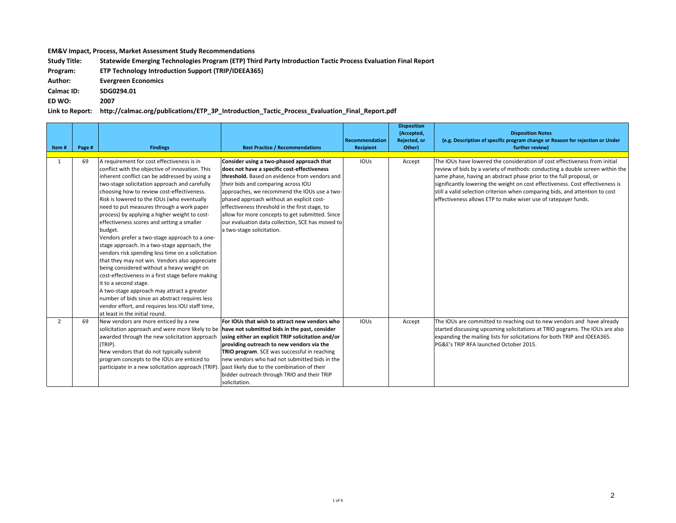## **EM&V** Impact, Process, Market Assessment Study Recommendations

Study Title: Statewide Emerging Technologies Program (ETP) Third Party Introduction Tactic Process Evaluation Final Report

**Program: ETP Technology Introduction Support (TRIP/IDEEA365)** 

**Author: Evergreen Economics**

**Calmac ID: SDG0294.01**

**ED WO: 2007**

**Link to Report: http://calmac.org/publications/ETP\_3P\_Introduction\_Tactic\_Process\_Evaluation\_Final\_Report.pdf**

| Item#          | Page # | <b>Findings</b>                                                                                                                                                                                                                                                                                                                                                                                                                                                                                                                                                                                                                                                                                                                                                                                                                                                                                                                                                                | <b>Best Practice / Recommendations</b>                                                                                                                                                                                                                                                                                                                                                                                                                              | Recommendation<br><b>Recipient</b> | <b>Disposition</b><br>(Accepted,<br>Rejected, or<br>Other) | <b>Disposition Notes</b><br>(e.g. Description of specific program change or Reason for rejection or Under<br>further review)                                                                                                                                                                                                                                                                                                                                           |
|----------------|--------|--------------------------------------------------------------------------------------------------------------------------------------------------------------------------------------------------------------------------------------------------------------------------------------------------------------------------------------------------------------------------------------------------------------------------------------------------------------------------------------------------------------------------------------------------------------------------------------------------------------------------------------------------------------------------------------------------------------------------------------------------------------------------------------------------------------------------------------------------------------------------------------------------------------------------------------------------------------------------------|---------------------------------------------------------------------------------------------------------------------------------------------------------------------------------------------------------------------------------------------------------------------------------------------------------------------------------------------------------------------------------------------------------------------------------------------------------------------|------------------------------------|------------------------------------------------------------|------------------------------------------------------------------------------------------------------------------------------------------------------------------------------------------------------------------------------------------------------------------------------------------------------------------------------------------------------------------------------------------------------------------------------------------------------------------------|
|                |        |                                                                                                                                                                                                                                                                                                                                                                                                                                                                                                                                                                                                                                                                                                                                                                                                                                                                                                                                                                                |                                                                                                                                                                                                                                                                                                                                                                                                                                                                     |                                    |                                                            |                                                                                                                                                                                                                                                                                                                                                                                                                                                                        |
| $\mathbf{1}$   | 69     | A requirement for cost effectiveness is in<br>conflict with the objective of innovation. This<br>inherent conflict can be addressed by using a<br>two-stage solicitation approach and carefully<br>choosing how to review cost-effectiveness.<br>Risk is lowered to the IOUs (who eventually<br>need to put measures through a work paper<br>process) by applying a higher weight to cost-<br>effectiveness scores and setting a smaller<br>budget.<br>Vendors prefer a two-stage approach to a one-<br>stage approach. In a two-stage approach, the<br>vendors risk spending less time on a solicitation<br>that they may not win. Vendors also appreciate<br>being considered without a heavy weight on<br>cost-effectiveness in a first stage before making<br>it to a second stage.<br>A two-stage approach may attract a greater<br>number of bids since an abstract requires less<br>vendor effort, and requires less IOU staff time,<br>lat least in the initial round. | Consider using a two-phased approach that<br>does not have a specific cost-effectiveness<br>threshold. Based on evidence from vendors and<br>their bids and comparing across IOU<br>approaches, we recommend the IOUs use a two-<br>phased approach without an explicit cost-<br>effectiveness threshold in the first stage, to<br>allow for more concepts to get submitted. Since<br>our evaluation data collection, SCE has moved to<br>a two-stage solicitation. | <b>IOUS</b>                        | Accept                                                     | The IOUs have lowered the consideration of cost effectiveness from initial<br>review of bids by a variety of methods: conducting a double screen within the<br>same phase, having an abstract phase prior to the full proposal, or<br>significantly lowering the weight on cost effectiveness. Cost effectiveness is<br>still a valid selection criterion when comparing bids, and attention to cost<br>effectiveness allows ETP to make wiser use of ratepayer funds. |
| $\overline{2}$ | 69     | New vendors are more enticed by a new<br>solicitation approach and were more likely to be have not submitted bids in the past, consider<br>awarded through the new solicitation approach<br>(TRIP).<br>New vendors that do not typically submit<br>program concepts to the IOUs are enticed to<br>participate in a new solicitation approach (TRIP).                                                                                                                                                                                                                                                                                                                                                                                                                                                                                                                                                                                                                           | For IOUs that wish to attract new vendors who<br>using either an explicit TRIP solicitation and/or<br>providing outreach to new vendors via the<br>TRIO program. SCE was successful in reaching<br>lnew vendors who had not submitted bids in the<br>past likely due to the combination of their<br>bidder outreach through TRIO and their TRIP<br>solicitation.                                                                                                    | <b>IOUS</b>                        | Accept                                                     | The IOUs are committed to reaching out to new vendors and have already<br>started discussing upcoming solicitations at TRIO pograms. The IOUs are also<br>expanding the mailing lists for solicitations for both TRIP and IDEEA365.<br>PG&E's TRIP RFA launched October 2015.                                                                                                                                                                                          |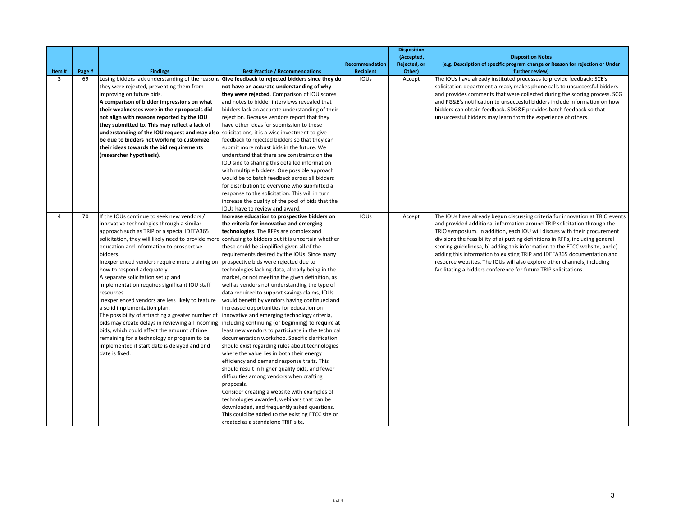|            |              |                                                     |                                                                                                                                            |                             | <b>Disposition</b><br>(Accepted, | <b>Disposition Notes</b>                                                                         |
|------------|--------------|-----------------------------------------------------|--------------------------------------------------------------------------------------------------------------------------------------------|-----------------------------|----------------------------------|--------------------------------------------------------------------------------------------------|
|            |              |                                                     |                                                                                                                                            | Recommendation<br>Recipient | Rejected, or                     | (e.g. Description of specific program change or Reason for rejection or Under<br>further review) |
| Item#<br>3 | Page #<br>69 | <b>Findings</b>                                     | <b>Best Practice / Recommendations</b><br>Losing bidders lack understanding of the reasons Give feedback to rejected bidders since they do | IOUS                        | Other)<br>Accept                 | The IOUs have already instituted processes to provide feedback: SCE's                            |
|            |              | they were rejected, preventing them from            | not have an accurate understanding of why                                                                                                  |                             |                                  | solicitation department already makes phone calls to unsuccessful bidders                        |
|            |              | improving on future bids.                           | they were rejected. Comparison of IOU scores                                                                                               |                             |                                  | and provides comments that were collected during the scoring process. SCG                        |
|            |              | A comparison of bidder impressions on what          | and notes to bidder interviews revealed that                                                                                               |                             |                                  | and PG&E's notification to unsuccesful bidders include information on how                        |
|            |              | their weaknesses were in their proposals did        | bidders lack an accurate understanding of their                                                                                            |                             |                                  | bidders can obtain feedback. SDG&E provides batch feedback so that                               |
|            |              | not align with reasons reported by the IOU          | rejection. Because vendors report that they                                                                                                |                             |                                  | unsuccessful bidders may learn from the experience of others.                                    |
|            |              | they submitted to. This may reflect a lack of       | have other ideas for submission to these                                                                                                   |                             |                                  |                                                                                                  |
|            |              | understanding of the IOU request and may also       | solicitations, it is a wise investment to give                                                                                             |                             |                                  |                                                                                                  |
|            |              | be due to bidders not working to customize          | feedback to rejected bidders so that they can                                                                                              |                             |                                  |                                                                                                  |
|            |              | their ideas towards the bid requirements            | submit more robust bids in the future. We                                                                                                  |                             |                                  |                                                                                                  |
|            |              | (researcher hypothesis).                            | understand that there are constraints on the                                                                                               |                             |                                  |                                                                                                  |
|            |              |                                                     | IOU side to sharing this detailed information                                                                                              |                             |                                  |                                                                                                  |
|            |              |                                                     | with multiple bidders. One possible approach                                                                                               |                             |                                  |                                                                                                  |
|            |              |                                                     | would be to batch feedback across all bidders                                                                                              |                             |                                  |                                                                                                  |
|            |              |                                                     | for distribution to everyone who submitted a                                                                                               |                             |                                  |                                                                                                  |
|            |              |                                                     | response to the solicitation. This will in turn                                                                                            |                             |                                  |                                                                                                  |
|            |              |                                                     | increase the quality of the pool of bids that the                                                                                          |                             |                                  |                                                                                                  |
|            |              |                                                     | IOUs have to review and award.                                                                                                             |                             |                                  |                                                                                                  |
| 4          | 70           | If the IOUs continue to seek new vendors /          | Increase education to prospective bidders on                                                                                               | IOUS                        | Accept                           | The IOUs have already begun discussing criteria for innovation at TRIO events                    |
|            |              | innovative technologies through a similar           | the criteria for innovative and emerging                                                                                                   |                             |                                  | and provided additional information around TRIP solicitation through the                         |
|            |              | approach such as TRIP or a special IDEEA365         | technologies. The RFPs are complex and                                                                                                     |                             |                                  | TRIO symposium. In addition, each IOU will discuss with their procurement                        |
|            |              | solicitation, they will likely need to provide more | confusing to bidders but it is uncertain whether                                                                                           |                             |                                  | divisions the feasibility of a) putting definitions in RFPs, including general                   |
|            |              | education and information to prospective            | these could be simplified given all of the                                                                                                 |                             |                                  | scoring guidelinesa, b) adding this information to the ETCC website, and c)                      |
|            |              | bidders.                                            | requirements desired by the IOUs. Since many                                                                                               |                             |                                  | adding this information to existing TRIP and IDEEA365 documentation and                          |
|            |              | Inexperienced vendors require more training on      | prospective bids were rejected due to                                                                                                      |                             |                                  | resource websites. The IOUs will also explore other channels, including                          |
|            |              | how to respond adequately.                          | technologies lacking data, already being in the                                                                                            |                             |                                  | facilitating a bidders conference for future TRIP solicitations.                                 |
|            |              | A separate solicitation setup and                   | market, or not meeting the given definition, as                                                                                            |                             |                                  |                                                                                                  |
|            |              | implementation requires significant IOU staff       | well as vendors not understanding the type of                                                                                              |                             |                                  |                                                                                                  |
|            |              | resources.                                          | data required to support savings claims, IOUs                                                                                              |                             |                                  |                                                                                                  |
|            |              | Inexperienced vendors are less likely to feature    | would benefit by vendors having continued and                                                                                              |                             |                                  |                                                                                                  |
|            |              | a solid implementation plan.                        | increased opportunities for education on                                                                                                   |                             |                                  |                                                                                                  |
|            |              | The possibility of attracting a greater number of   | innovative and emerging technology criteria,                                                                                               |                             |                                  |                                                                                                  |
|            |              | bids may create delays in reviewing all incoming    | including continuing (or beginning) to require at                                                                                          |                             |                                  |                                                                                                  |
|            |              | bids, which could affect the amount of time         | least new vendors to participate in the technical                                                                                          |                             |                                  |                                                                                                  |
|            |              | remaining for a technology or program to be         | documentation workshop. Specific clarification                                                                                             |                             |                                  |                                                                                                  |
|            |              | implemented if start date is delayed and end        | should exist regarding rules about technologies                                                                                            |                             |                                  |                                                                                                  |
|            |              | date is fixed.                                      | where the value lies in both their energy                                                                                                  |                             |                                  |                                                                                                  |
|            |              |                                                     | efficiency and demand response traits. This                                                                                                |                             |                                  |                                                                                                  |
|            |              |                                                     | should result in higher quality bids, and fewer                                                                                            |                             |                                  |                                                                                                  |
|            |              |                                                     | difficulties among vendors when crafting                                                                                                   |                             |                                  |                                                                                                  |
|            |              |                                                     | proposals.                                                                                                                                 |                             |                                  |                                                                                                  |
|            |              |                                                     | Consider creating a website with examples of                                                                                               |                             |                                  |                                                                                                  |
|            |              |                                                     | technologies awarded, webinars that can be                                                                                                 |                             |                                  |                                                                                                  |
|            |              |                                                     | downloaded, and frequently asked questions.                                                                                                |                             |                                  |                                                                                                  |
|            |              |                                                     | This could be added to the existing ETCC site or                                                                                           |                             |                                  |                                                                                                  |
|            |              |                                                     | created as a standalone TRIP site.                                                                                                         |                             |                                  |                                                                                                  |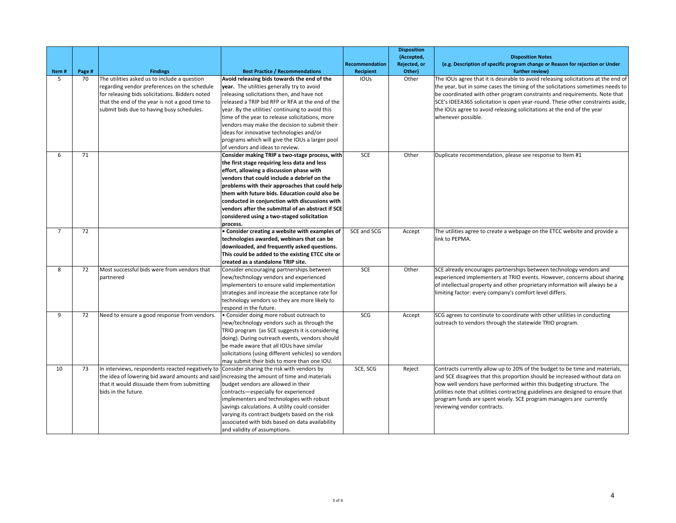| Item#          | Page # | <b>Findings</b>                                                                                                                                                                                                                                | <b>Best Practice / Recommendations</b>                                                                                                                                                                                                                                                                                                                                                                                                                                                | Recommendation<br>Recipient | <b>Disposition</b><br>(Accepted,<br>Rejected, or<br>Other) | <b>Disposition Notes</b><br>(e.g. Description of specific program change or Reason for rejection or Under<br>further review)                                                                                                                                                                                                                                                                                                        |
|----------------|--------|------------------------------------------------------------------------------------------------------------------------------------------------------------------------------------------------------------------------------------------------|---------------------------------------------------------------------------------------------------------------------------------------------------------------------------------------------------------------------------------------------------------------------------------------------------------------------------------------------------------------------------------------------------------------------------------------------------------------------------------------|-----------------------------|------------------------------------------------------------|-------------------------------------------------------------------------------------------------------------------------------------------------------------------------------------------------------------------------------------------------------------------------------------------------------------------------------------------------------------------------------------------------------------------------------------|
| 5              | 70     | The utilities asked us to include a question<br>regarding vendor preferences on the schedule<br>for releasing bids solicitations. Bidders noted<br>that the end of the year is not a good time to<br>submit bids due to having busy schedules. | Avoid releasing bids towards the end of the<br>year. The utilities generally try to avoid<br>releasing solicitations then, and have not<br>released a TRIP bid RFP or RFA at the end of the<br>year. By the utilities' continuing to avoid this<br>time of the year to release solicitations, more<br>vendors may make the decision to submit their<br>ideas for innovative technologies and/or<br>programs which will give the IOUs a larger pool<br>of vendors and ideas to review. | IOUS                        | Other                                                      | The IOUs agree that it is desirable to avoid releasing solicitations at the end of<br>the year, but in some cases the timing of the solicitations sometimes needs to<br>be coordinated with other program constraints and requirements. Note that<br>SCE's IDEEA365 solicitation is open year-round. These other constraints aside,<br>the IOUs agree to avoid releasing solicitations at the end of the year<br>whenever possible. |
| 6              | 71     |                                                                                                                                                                                                                                                | Consider making TRIP a two-stage process, with<br>the first stage requiring less data and less<br>effort, allowing a discussion phase with<br>vendors that could include a debrief on the<br>problems with their approaches that could help<br>them with future bids. Education could also be<br>conducted in conjunction with discussions with<br>vendors after the submittal of an abstract if SCE<br>considered using a two-staged solicitation<br>process.                        | SCE                         | Other                                                      | Duplicate recommendation, please see response to Item #1                                                                                                                                                                                                                                                                                                                                                                            |
| $\overline{7}$ | 72     |                                                                                                                                                                                                                                                | • Consider creating a website with examples of<br>technologies awarded, webinars that can be<br>downloaded, and frequently asked questions.<br>This could be added to the existing ETCC site or<br>created as a standalone TRIP site.                                                                                                                                                                                                                                                 | SCE and SCG                 | Accept                                                     | The utilities agree to create a webpage on the ETCC website and provide a<br>link to PEPMA.                                                                                                                                                                                                                                                                                                                                         |
| 8              | 72     | Most successful bids were from vendors that<br>partnered                                                                                                                                                                                       | Consider encouraging partnerships between<br>new/technology vendors and experienced<br>implementers to ensure valid implementation<br>strategies and increase the acceptance rate for<br>technology vendors so they are more likely to<br>respond in the future.                                                                                                                                                                                                                      | <b>SCE</b>                  | Other                                                      | SCE already encourages partnerships between technology vendors and<br>experienced implementers at TRIO events. However, concerns about sharing<br>of intellectual property and other proprietary information will always be a<br>limiting factor: every company's comfort level differs.                                                                                                                                            |
| 9              | 72     | Need to ensure a good response from vendors.                                                                                                                                                                                                   | • Consider doing more robust outreach to<br>new/technology vendors such as through the<br>TRIO program (as SCE suggests it is considering<br>doing). During outreach events, vendors should<br>be made aware that all IOUs have similar<br>solicitations (using different vehicles) so vendors<br>may submit their bids to more than one IOU.                                                                                                                                         | SCG                         | Accept                                                     | SCG agrees to continute to coordinate with other utilities in conducting<br>outreach to vendors through the statewide TRIO program.                                                                                                                                                                                                                                                                                                 |
| 10             | 73     | In interviews, respondents reacted negatively to<br>the idea of lowering bid award amounts and said<br>that it would dissuade them from submitting<br>bids in the future.                                                                      | Consider sharing the risk with vendors by<br>increasing the amount of time and materials<br>budget vendors are allowed in their<br>contracts-especially for experienced<br>implementers and technologies with robust<br>savings calculations. A utility could consider<br>varying its contract budgets based on the risk<br>associated with bids based on data availability<br>and validity of assumptions.                                                                           | SCE, SCG                    | Reject                                                     | Contracts currently allow up to 20% of the budget to be time and materials,<br>and SCE disagrees that this proportion should be increased without data on<br>how well vendors have performed within this budgeting structure. The<br>utilities note that utilities contracting guidelines are designed to ensure that<br>program funds are spent wisely. SCE program managers are currently<br>reviewing vendor contracts.          |